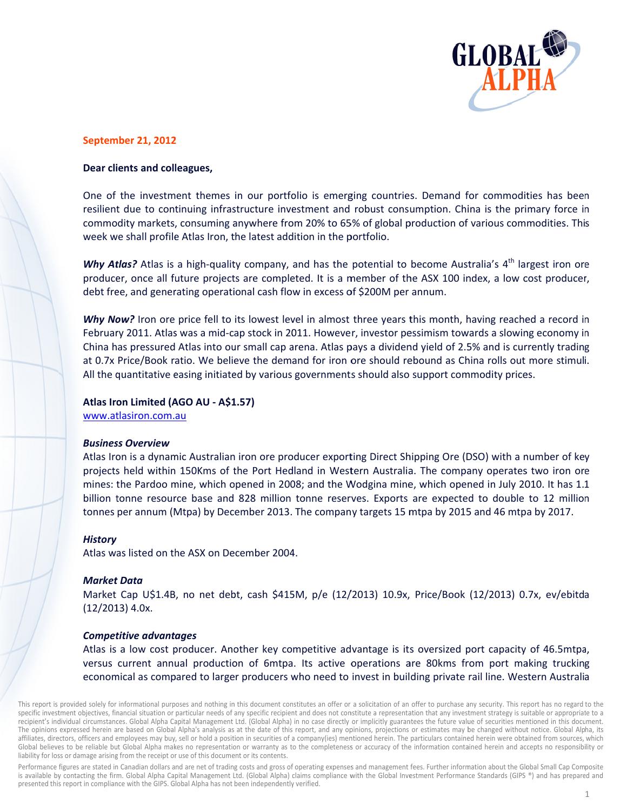

# September 21, 2012

## Dear clients and colleagues,

One of the investment themes in our portfolio is emerging countries. Demand for commodities has been resilient due to continuing infrastructure investment and robust consumption. China is the primary force in commodity markets, consuming anywhere from 20% to 65% of global production of various commodities. This week we shall profile Atlas Iron, the latest addition in the portfolio.

Why Atlas? Atlas is a high-quality company, and has the potential to become Australia's 4<sup>th</sup> largest iron ore producer, once all future projects are completed. It is a member of the ASX 100 index, a low cost producer, debt free, and generating operational cash flow in excess of \$200M per annum.

Why Now? Iron ore price fell to its lowest level in almost three years this month, having reached a record in February 2011. Atlas was a mid-cap stock in 2011. However, investor pessimism towards a slowing economy in China has pressured Atlas into our small cap arena. Atlas pays a dividend yield of 2.5% and is currently trading at 0.7x Price/Book ratio. We believe the demand for iron ore should rebound as China rolls out more stimuli. All the quantitative easing initiated by various governments should also support commodity prices.

#### Atlas Iron Limited (AGO AU - A\$1.57)

www.atlasiron.com.au

## **Business Overview**

Atlas Iron is a dynamic Australian iron ore producer exporting Direct Shipping Ore (DSO) with a number of key projects held within 150Kms of the Port Hedland in Western Australia. The company operates two iron ore mines: the Pardoo mine, which opened in 2008; and the Wodgina mine, which opened in July 2010. It has 1.1 billion tonne resource base and 828 million tonne reserves. Exports are expected to double to 12 million tonnes per annum (Mtpa) by December 2013. The company targets 15 mtpa by 2015 and 46 mtpa by 2017.

#### **History**

Atlas was listed on the ASX on December 2004.

## **Market Data**

Market Cap U\$1.4B, no net debt, cash \$415M, p/e (12/2013) 10.9x, Price/Book (12/2013) 0.7x, ev/ebitda  $(12/2013)$  4.0x.

## **Competitive advantages**

Atlas is a low cost producer. Another key competitive advantage is its oversized port capacity of 46.5mtpa, versus current annual production of 6mtpa. Its active operations are 80kms from port making trucking economical as compared to larger producers who need to invest in building private rail line. Western Australia

This report is provided solely for informational purposes and nothing in this document constitutes an offer or a solicitation of an offer to purchase any security. This report has no regard to the specific investment objectives, financial situation or particular needs of any specific recipient and does not constitute a representation that any investment strategy is suitable or appropriate to a recipient's individual circumstances. Global Alpha Capital Management Ltd. (Global Alpha) in no case directly or implicitly guarantees the future value of securities mentioned in this document. The opinions expressed herein are based on Global Alpha's analysis as at the date of this report, and any opinions, projections or estimates may be changed without notice. Global Alpha, its affiliates, directors, officers and employees may buy, sell or hold a position in securities of a company(ies) mentioned herein. The particulars contained herein were obtained from sources, which Global believes to be reliable but Global Alpha makes no representation or warranty as to the completeness or accuracy of the information contained herein and accepts no responsibility or liability for loss or damage arising from the receipt or use of this document or its contents.

Performance figures are stated in Canadian dollars and are net of trading costs and gross of operating expenses and management fees. Further information about the Global Small Cap Composite is available by contacting the firm. Global Alpha Capital Management Ltd. (Global Alpha) claims compliance with the Global Investment Performance Standards (GIPS ®) and has prepared and presented this report in compliance with the GIPS. Global Alpha has not been independently verified.